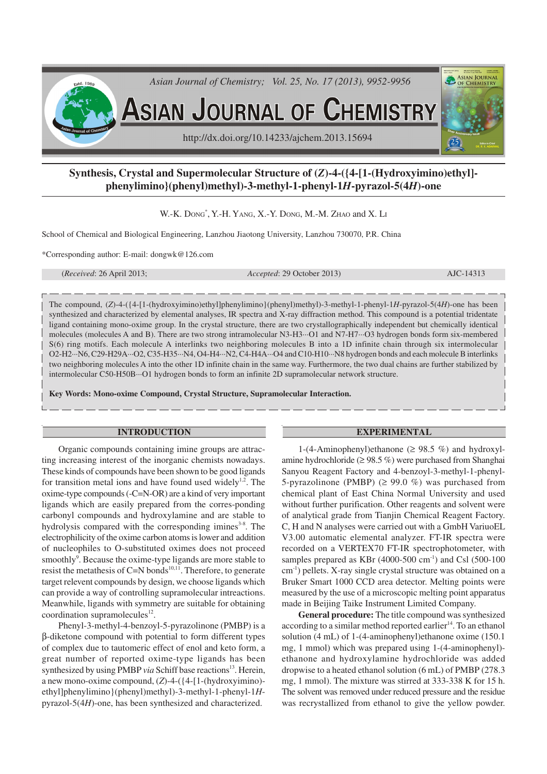

# **Synthesis, Crystal and Supermolecular Structure of (***Z***)-4-({4-[1-(Hydroxyimino)ethyl] phenylimino}(phenyl)methyl)-3-methyl-1-phenyl-1***H***-pyrazol-5(4***H***)-one**

W.-K. DONG<sup>\*</sup>, Y.-H. YANG, X.-Y. DONG, M.-M. ZHAO and X. LI

School of Chemical and Biological Engineering, Lanzhou Jiaotong University, Lanzhou 730070, P.R. China

\*Corresponding author: E-mail: dongwk@126.com

(*Received*: 26 April 2013; *Accepted*: 29 October 2013) AJC-14313

The compound, (*Z*)-4-({4-[1-(hydroxyimino)ethyl]phenylimino}(phenyl)methyl)-3-methyl-1-phenyl-1*H*-pyrazol-5(4*H*)-one has been synthesized and characterized by elemental analyses, IR spectra and X-ray diffraction method. This compound is a potential tridentate ligand containing mono-oxime group. In the crystal structure, there are two crystallographically independent but chemically identical molecules (molecules A and B). There are two strong intramolecular N3-H3···O1 and N7-H7···O3 hydrogen bonds form six-membered S(6) ring motifs. Each molecule A interlinks two neighboring molecules B into a 1D infinite chain through six intermolecular O2-H2···N6, C29-H29A···O2, C35-H35···N4, O4-H4···N2, C4-H4A···O4 and C10-H10···N8 hydrogen bonds and each molecule B interlinks two neighboring molecules A into the other 1D infinite chain in the same way. Furthermore, the two dual chains are further stabilized by intermolecular C50-H50B···O1 hydrogen bonds to form an infinite 2D supramolecular network structure.

**Key Words: Mono-oxime Compound, Crystal Structure, Supramolecular Interaction.**

#### **INTRODUCTION**

Organic compounds containing imine groups are attracting increasing interest of the inorganic chemists nowadays. These kinds of compounds have been shown to be good ligands for transition metal ions and have found used widely $1,2$ . The oxime-type compounds (-C=N-OR) are a kind of very important ligands which are easily prepared from the corres-ponding carbonyl compounds and hydroxylamine and are stable to hydrolysis compared with the corresponding imines<sup>3-8</sup>. The electrophilicity of the oxime carbon atoms is lower and addition of nucleophiles to O-substituted oximes does not proceed smoothly<sup>9</sup>. Because the oxime-type ligands are more stable to resist the metathesis of  $C=N$  bonds<sup>10,11</sup>. Therefore, to generate target relevent compounds by design, we choose ligands which can provide a way of controlling supramolecular intreactions. Meanwhile, ligands with symmetry are suitable for obtaining coordination supramolecules $^{12}$ .

Phenyl-3-methyl-4-benzoyl-5-pyrazolinone (PMBP) is a β-diketone compound with potential to form different types of complex due to tautomeric effect of enol and keto form, a great number of reported oxime-type ligands has been synthesized by using PMBP *via* Schiff base reactions<sup>13</sup>. Herein, a new mono-oxime compound, (*Z*)-4-({4-[1-(hydroxyimino) ethyl]phenylimino}(phenyl)methyl)-3-methyl-1-phenyl-1*H*pyrazol-5(4*H*)-one, has been synthesized and characterized.

#### **EXPERIMENTAL**

1-(4-Aminophenyl)ethanone ( $\geq$  98.5 %) and hydroxylamine hydrochloride ( $\geq$  98.5 %) were purchased from Shanghai Sanyou Reagent Factory and 4-benzoyl-3-methyl-1-phenyl-5-pyrazolinone (PMBP)  $(≥ 99.0 %)$  was purchased from chemical plant of East China Normal University and used without further purification. Other reagents and solvent were of analytical grade from Tianjin Chemical Reagent Factory. C, H and N analyses were carried out with a GmbH VariuoEL V3.00 automatic elemental analyzer. FT-IR spectra were recorded on a VERTEX70 FT-IR spectrophotometer, with samples prepared as KBr  $(4000-500 \text{ cm}^{-1})$  and Csl  $(500-100 \text{ s})$ cm-1) pellets. X-ray single crystal structure was obtained on a Bruker Smart 1000 CCD area detector. Melting points were measured by the use of a microscopic melting point apparatus made in Beijing Taike Instrument Limited Company.

**General procedure:** The title compound was synthesized according to a similar method reported earlier $14$ . To an ethanol solution (4 mL) of 1-(4-aminophenyl)ethanone oxime (150.1 mg, 1 mmol) which was prepared using 1-(4-aminophenyl) ethanone and hydroxylamine hydrochloride was added dropwise to a heated ethanol solution (6 mL) of PMBP (278.3 mg, 1 mmol). The mixture was stirred at 333-338 K for 15 h. The solvent was removed under reduced pressure and the residue was recrystallized from ethanol to give the yellow powder.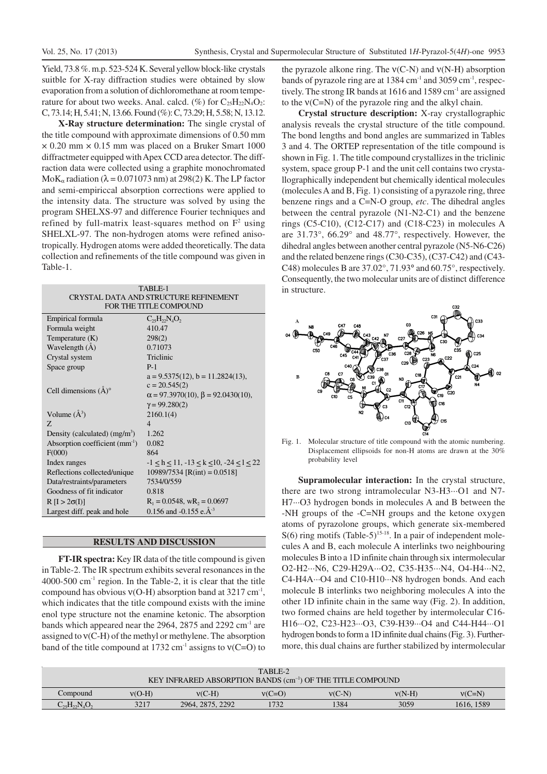Yield, 73.8 %. m.p. 523-524 K. Several yellow block-like crystals suitble for X-ray diffraction studies were obtained by slow evaporation from a solution of dichloromethane at room temperature for about two weeks. Anal. calcd. (%) for  $C_{25}H_{22}N_4O_2$ : C, 73.14; H, 5.41; N, 13.66. Found (%): C, 73.29; H, 5.58; N, 13.12.

**X-Ray structure determination:** The single crystal of the title compound with approximate dimensions of 0.50 mm  $\times$  0.20 mm  $\times$  0.15 mm was placed on a Bruker Smart 1000 diffractmeter equipped with Apex CCD area detector. The diffraction data were collected using a graphite monochromated MoK<sub>α</sub> radiation ( $\lambda$  = 0.071073 nm) at 298(2) K. The LP factor and semi-empiriccal absorption corrections were applied to the intensity data. The structure was solved by using the program SHELXS-97 and difference Fourier techniques and refined by full-matrix least-squares method on  $F<sup>2</sup>$  using SHELXL-97. The non-hydrogen atoms were refined anisotropically. Hydrogen atoms were added theoretically. The data collection and refinements of the title compound was given in Table-1.

| TABLE-1<br>CRYSTAL DATA AND STRUCTURE REFINEMENT<br>FOR THE TITLE COMPOUND |                                                |  |  |  |
|----------------------------------------------------------------------------|------------------------------------------------|--|--|--|
| Empirical formula                                                          | $C_{25}H_{22}N_{4}O_{2}$                       |  |  |  |
| Formula weight                                                             | 410.47                                         |  |  |  |
| Temperature $(K)$                                                          | 298(2)                                         |  |  |  |
| Wavelength (Å)                                                             | 0.71073                                        |  |  |  |
| Crystal system                                                             | Triclinic                                      |  |  |  |
| Space group                                                                | $P-1$                                          |  |  |  |
|                                                                            | $a = 9.5375(12)$ , $b = 11.2824(13)$ ,         |  |  |  |
| Cell dimensions $(A)^\circ$                                                | $c = 20.545(2)$                                |  |  |  |
|                                                                            | $\alpha$ = 97.3970(10), $\beta$ = 92.0430(10), |  |  |  |
|                                                                            | $\gamma = 99.280(2)$                           |  |  |  |
| Volume $(A^3)$                                                             | 2160.1(4)                                      |  |  |  |
| 7.                                                                         | $\overline{4}$                                 |  |  |  |
| Density (calculated) $(mg/m3)$                                             | 1.262                                          |  |  |  |
| Absorption coefficient $(mm^{-1})$                                         | 0.082                                          |  |  |  |
| F(000)                                                                     | 864                                            |  |  |  |
| Index ranges                                                               | $-1 < h < 11, -13 < k < 10, -24 < l < 22$      |  |  |  |
| Reflections collected/unique                                               | $10989/7534$ [R(int) = 0.0518]                 |  |  |  |
| Data/restraints/parameters                                                 | 7534/0/559                                     |  |  |  |
| Goodness of fit indicator                                                  | 0.818                                          |  |  |  |
| $R[I > 2\sigma(I)]$                                                        | $R_1 = 0.0548$ , w $R_2 = 0.0697$              |  |  |  |
| Largest diff. peak and hole                                                | 0.156 and -0.155 e. $A^{3}$                    |  |  |  |

### **RESULTS AND DISCUSSION**

**FT-IR spectra:** Key IR data of the title compound is given in Table-2. The IR spectrum exhibits several resonances in the  $4000-500$  cm<sup>-1</sup> region. In the Table-2, it is clear that the title compound has obvious  $v(O-H)$  absorption band at 3217 cm<sup>-1</sup>, which indicates that the title compound exists with the imine enol type structure not the enamine ketonic. The absorption bands which appeared near the 2964, 2875 and 2292  $\text{cm}^{\text{-1}}$  are assigned to ν(C-H) of the methyl or methylene. The absorption band of the title compound at 1732 cm<sup>-1</sup> assigns to  $v(C=0)$  to

the pyrazole alkone ring. The  $v(C-N)$  and  $v(N-H)$  absorption bands of pyrazole ring are at 1384 cm<sup>-1</sup> and 3059 cm<sup>-1</sup>, respectively. The strong IR bands at 1616 and 1589 cm<sup>-1</sup> are assigned to the ν(C=N) of the pyrazole ring and the alkyl chain.

**Crystal structure description:** X-ray crystallographic analysis reveals the crystal structure of the title compound. The bond lengths and bond angles are summarized in Tables 3 and 4. The ORTEP representation of the title compound is shown in Fig. 1. The title compound crystallizes in the triclinic system, space group P-1 and the unit cell contains two crystallographically independent but chemically identical molecules (molecules A and B, Fig. 1) consisting of a pyrazole ring, three benzene rings and a C=N-O group, *etc*. The dihedral angles between the central pyrazole (N1-N2-C1) and the benzene rings (C5-C10), (C12-C17) and (C18-C23) in molecules A are 31.73°, 66.29° and 48.77°, respectively. However, the dihedral angles between another central pyrazole (N5-N6-C26) and the related benzene rings (C30-C35), (C37-C42) and (C43- C48) molecules B are 37.02°, 71.93° and 60.75°, respectively. Consequently, the two molecular units are of distinct difference in structure.



Fig. 1. Molecular structure of title compound with the atomic numbering. Displacement ellipsoids for non-H atoms are drawn at the 30% probability level

**Supramolecular interaction:** In the crystal structure, there are two strong intramolecular N3-H3···O1 and N7- H7···O3 hydrogen bonds in molecules A and B between the -NH groups of the -C=NH groups and the ketone oxygen atoms of pyrazolone groups, which generate six-membered  $S(6)$  ring motifs (Table-5)<sup>15-18</sup>. In a pair of independent molecules A and B, each molecule A interlinks two neighbouring molecules B into a 1D infinite chain through six intermolecular O2-H2···N6, C29-H29A···O2, C35-H35···N4, O4-H4···N2, C4-H4A···O4 and C10-H10···N8 hydrogen bonds. And each molecule B interlinks two neighboring molecules A into the other 1D infinite chain in the same way (Fig. 2). In addition, two formed chains are held together by intermolecular C16- H16···O2, C23-H23···O3, C39-H39···O4 and C44-H44···O1 hydrogen bonds to form a 1D infinite dual chains (Fig. 3). Furthermore, this dual chains are further stabilized by intermolecular

| TABLE-2<br>KEY INFRARED ABSORPTION BANDS $(cm-1)$ OF THE TITLE COMPOUND |          |                  |          |          |          |            |
|-------------------------------------------------------------------------|----------|------------------|----------|----------|----------|------------|
| Compound                                                                | $v(O-H)$ | $v(C-H)$         | $v(C=O)$ | $v(C-N)$ | $v(N-H)$ | $v(C=N)$   |
| $C_{25}H_{22}N_4O_2$                                                    | 3217     | 2964, 2875, 2292 | 1732     | !384     | 3059     | 1616, 1589 |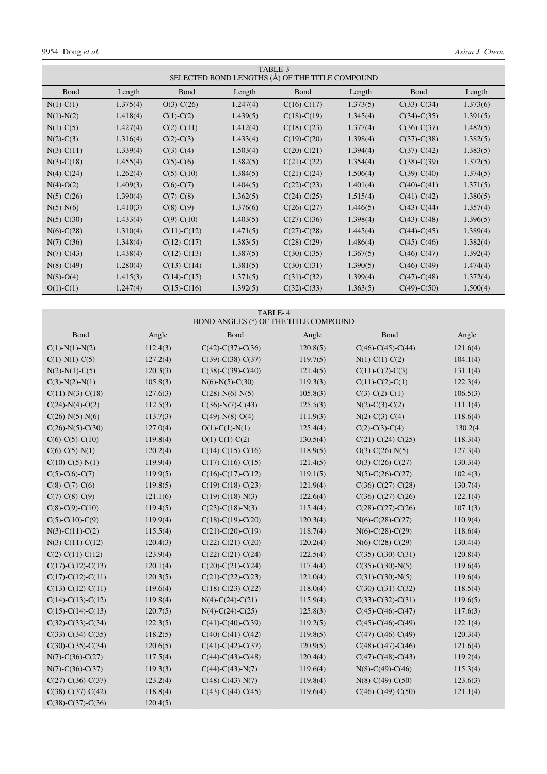9954 Dong *et al. Asian J. Chem.*

Ξ

| TABLE-3<br>SELECTED BOND LENGTHS (Å) OF THE TITLE COMPOUND |          |                  |          |                   |          |                   |          |
|------------------------------------------------------------|----------|------------------|----------|-------------------|----------|-------------------|----------|
| <b>B</b> ond                                               | Length   | <b>B</b> ond     | Length   | <b>B</b> ond      | Length   | <b>B</b> ond      | Length   |
| $N(1)-C(1)$                                                | 1.375(4) | $O(3)$ -C $(26)$ | 1.247(4) | $C(16)-C(17)$     | 1.373(5) | $C(33)-C(34)$     | 1.373(6) |
| $N(1)-N(2)$                                                | 1.418(4) | $C(1)-C(2)$      | 1.439(5) | $C(18)-C(19)$     | 1.345(4) | $C(34)-C(35)$     | 1.391(5) |
| $N(1)-C(5)$                                                | 1.427(4) | $C(2)-C(11)$     | 1.412(4) | $C(18)-C(23)$     | 1.377(4) | $C(36)-C(37)$     | 1.482(5) |
| $N(2)-C(3)$                                                | 1.316(4) | $C(2)-C(3)$      | 1.433(4) | $C(19)-C(20)$     | 1.398(4) | $C(37) - C(38)$   | 1.382(5) |
| $N(3)-C(11)$                                               | 1.339(4) | $C(3)-C(4)$      | 1.503(4) | $C(20)$ - $C(21)$ | 1.394(4) | $C(37) - C(42)$   | 1.383(5) |
| $N(3)-C(18)$                                               | 1.455(4) | $C(5)-C(6)$      | 1.382(5) | $C(21) - C(22)$   | 1.354(4) | $C(38) - C(39)$   | 1.372(5) |
| $N(4)-C(24)$                                               | 1.262(4) | $C(5) - C(10)$   | 1.384(5) | $C(21)-C(24)$     | 1.506(4) | $C(39) - C(40)$   | 1.374(5) |
| $N(4)-O(2)$                                                | 1.409(3) | $C(6)-C(7)$      | 1.404(5) | $C(22) - C(23)$   | 1.401(4) | $C(40)-C(41)$     | 1.371(5) |
| $N(5)-C(26)$                                               | 1.390(4) | $C(7)$ - $C(8)$  | 1.362(5) | $C(24)-C(25)$     | 1.515(4) | $C(41) - C(42)$   | 1.380(5) |
| $N(5)$ - $N(6)$                                            | 1.410(3) | $C(8)-C(9)$      | 1.376(6) | $C(26) - C(27)$   | 1.446(5) | $C(43) - C(44)$   | 1.357(4) |
| $N(5)-C(30)$                                               | 1.433(4) | $C(9) - C(10)$   | 1.403(5) | $C(27) - C(36)$   | 1.398(4) | $C(43) - C(48)$   | 1.396(5) |
| $N(6)-C(28)$                                               | 1.310(4) | $C(11)-C(12)$    | 1.471(5) | $C(27)$ -C $(28)$ | 1.445(4) | $C(44) - C(45)$   | 1.389(4) |
| $N(7)-C(36)$                                               | 1.348(4) | $C(12)-C(17)$    | 1.383(5) | $C(28) - C(29)$   | 1.486(4) | $C(45)$ -C $(46)$ | 1.382(4) |
| $N(7)-C(43)$                                               | 1.438(4) | $C(12)-C(13)$    | 1.387(5) | $C(30)-C(35)$     | 1.367(5) | $C(46) - C(47)$   | 1.392(4) |
| $N(8)-C(49)$                                               | 1.280(4) | $C(13)-C(14)$    | 1.381(5) | $C(30) - C(31)$   | 1.390(5) | $C(46) - C(49)$   | 1.474(4) |
| $N(8)-O(4)$                                                | 1.415(3) | $C(14)-C(15)$    | 1.371(5) | $C(31) - C(32)$   | 1.399(4) | $C(47)$ - $C(48)$ | 1.372(4) |
| $O(1)-C(1)$                                                | 1.247(4) | $C(15)-C(16)$    | 1.392(5) | $C(32) - C(33)$   | 1.363(5) | $C(49) - C(50)$   | 1.500(4) |

| TABLE-4<br>BOND ANGLES (°) OF THE TITLE COMPOUND |          |                      |          |                             |          |  |
|--------------------------------------------------|----------|----------------------|----------|-----------------------------|----------|--|
| Bond                                             | Angle    | Bond                 | Angle    | Bond                        | Angle    |  |
| $C(1)-N(1)-N(2)$                                 | 112.4(3) | $C(42)$ -C(37)-C(36) | 120.8(5) | $C(46)-C(45)-C(44)$         | 121.6(4) |  |
| $C(1)-N(1)-C(5)$                                 | 127.2(4) | $C(39)-C(38)-C(37)$  | 119.7(5) | $N(1)-C(1)-C(2)$            | 104.1(4) |  |
| $N(2)-N(1)-C(5)$                                 | 120.3(3) | $C(38)-C(39)-C(40)$  | 121.4(5) | $C(11)-C(2)-C(3)$           | 131.1(4) |  |
| $C(3)-N(2)-N(1)$                                 | 105.8(3) | $N(6)-N(5)-C(30)$    | 119.3(3) | $C(11)-C(2)-C(1)$           | 122.3(4) |  |
| $C(11)-N(3)-C(18)$                               | 127.6(3) | $C(28)-N(6)-N(5)$    | 105.8(3) | $C(3)-C(2)-C(1)$            | 106.5(3) |  |
| $C(24)-N(4)-O(2)$                                | 112.5(3) | $C(36)-N(7)-C(43)$   | 125.5(3) | $N(2)-C(3)-C(2)$            | 111.1(4) |  |
| $C(26)$ -N(5)-N(6)                               | 113.7(3) | $C(49)$ -N(8)-O(4)   | 111.9(3) | $N(2)-C(3)-C(4)$            | 118.6(4) |  |
| $C(26)$ -N(5)-C(30)                              | 127.0(4) | $O(1)-C(1)-N(1)$     | 125.4(4) | $C(2)-C(3)-C(4)$            | 130.2(4  |  |
| $C(6)-C(5)-C(10)$                                | 119.8(4) | $O(1)-C(1)-C(2)$     | 130.5(4) | $C(21)-C(24)-C(25)$         | 118.3(4) |  |
| $C(6)-C(5)-N(1)$                                 | 120.2(4) | $C(14)-C(15)-C(16)$  | 118.9(5) | $O(3)$ -C $(26)$ -N $(5)$   | 127.3(4) |  |
| $C(10)-C(5)-N(1)$                                | 119.9(4) | $C(17)-C(16)-C(15)$  | 121.4(5) | $O(3)-C(26)-C(27)$          | 130.3(4) |  |
| $C(5)-C(6)-C(7)$                                 | 119.9(5) | $C(16)-C(17)-C(12)$  | 119.1(5) | $N(5)-C(26)-C(27)$          | 102.4(3) |  |
| $C(8)-C(7)-C(6)$                                 | 119.8(5) | $C(19)-C(18)-C(23)$  | 121.9(4) | $C(36)-C(27)-C(28)$         | 130.7(4) |  |
| $C(7)$ -C(8)-C(9)                                | 121.1(6) | $C(19)-C(18)-N(3)$   | 122.6(4) | $C(36)-C(27)-C(26)$         | 122.1(4) |  |
| $C(8)-C(9)-C(10)$                                | 119.4(5) | $C(23)-C(18)-N(3)$   | 115.4(4) | $C(28)$ -C(27)-C(26)        | 107.1(3) |  |
| $C(5)-C(10)-C(9)$                                | 119.9(4) | $C(18)-C(19)-C(20)$  | 120.3(4) | $N(6)-C(28)-C(27)$          | 110.9(4) |  |
| $N(3)-C(11)-C(2)$                                | 115.5(4) | $C(21)-C(20)-C(19)$  | 118.7(4) | $N(6)$ -C(28)-C(29)         | 118.6(4) |  |
| $N(3)-C(11)-C(12)$                               | 120.4(3) | $C(22)-C(21)-C(20)$  | 120.2(4) | $N(6)$ -C(28)-C(29)         | 130.4(4) |  |
| $C(2)-C(11)-C(12)$                               | 123.9(4) | $C(22)-C(21)-C(24)$  | 122.5(4) | $C(35)-C(30)-C(31)$         | 120.8(4) |  |
| $C(17)-C(12)-C(13)$                              | 120.1(4) | $C(20)-C(21)-C(24)$  | 117.4(4) | $C(35)-C(30)-N(5)$          | 119.6(4) |  |
| $C(17)-C(12)-C(11)$                              | 120.3(5) | $C(21)-C(22)-C(23)$  | 121.0(4) | $C(31)-C(30)-N(5)$          | 119.6(4) |  |
| $C(13)-C(12)-C(11)$                              | 119.6(4) | $C(18)-C(23)-C(22)$  | 118.0(4) | $C(30)-C(31)-C(32)$         | 118.5(4) |  |
| $C(14)-C(13)-C(12)$                              | 119.8(4) | $N(4)-C(24)-C(21)$   | 115.9(4) | $C(33)-C(32)-C(31)$         | 119.6(5) |  |
| $C(15)-C(14)-C(13)$                              | 120.7(5) | $N(4)-C(24)-C(25)$   | 125.8(3) | $C(45)-C(46)-C(47)$         | 117.6(3) |  |
| $C(32)$ -C $(33)$ -C $(34)$                      | 122.3(5) | $C(41)-C(40)-C(39)$  | 119.2(5) | $C(45)$ -C $(46)$ -C $(49)$ | 122.1(4) |  |
| $C(33)-C(34)-C(35)$                              | 118.2(5) | $C(40)-C(41)-C(42)$  | 119.8(5) | $C(47)$ -C $(46)$ -C $(49)$ | 120.3(4) |  |
| $C(30)-C(35)-C(34)$                              | 120.6(5) | $C(41)-C(42)-C(37)$  | 120.9(5) | $C(48)-C(47)-C(46)$         | 121.6(4) |  |
| $N(7)-C(36)-C(27)$                               | 117.5(4) | $C(44)-C(43)-C(48)$  | 120.4(4) | $C(47)$ -C $(48)$ -C $(43)$ | 119.2(4) |  |
| $N(7)-C(36)-C(37)$                               | 119.3(3) | $C(44)-C(43)-N(7)$   | 119.6(4) | $N(8)-C(49)-C(46)$          | 115.3(4) |  |
| $C(27)$ -C(36)-C(37)                             | 123.2(4) | $C(48)-C(43)-N(7)$   | 119.8(4) | $N(8)-C(49)-C(50)$          | 123.6(3) |  |
| $C(38)$ -C $(37)$ -C $(42)$                      | 118.8(4) | $C(43)-C(44)-C(45)$  | 119.6(4) | $C(46)-C(49)-C(50)$         | 121.1(4) |  |
| $C(38)$ -C $(37)$ -C $(36)$                      | 120.4(5) |                      |          |                             |          |  |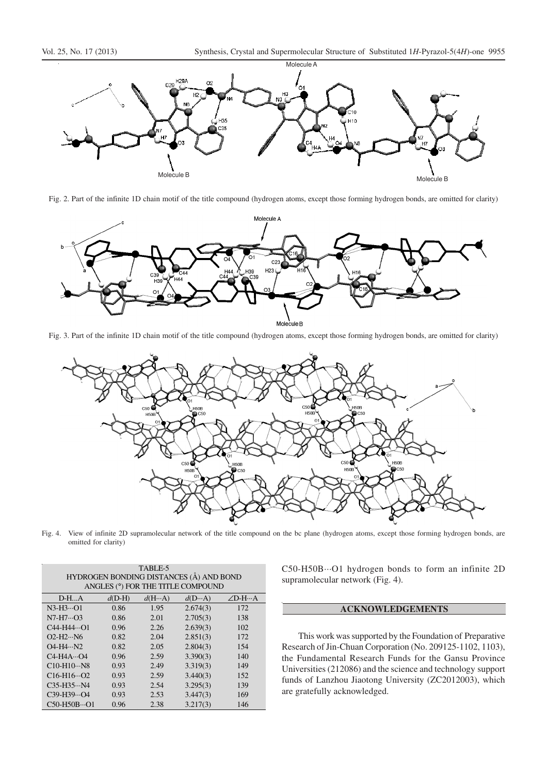



Fig. 2. Part of the infinite 1D chain motif of the title compound (hydrogen atoms, except those forming hydrogen bonds, are omitted for clarity)



Fig. 3. Part of the infinite 1D chain motif of the title compound (hydrogen atoms, except those forming hydrogen bonds, are omitted for clarity)



Fig. 4. View of infinite 2D supramolecular network of the title compound on the bc plane (hydrogen atoms, except those forming hydrogen bonds, are omitted for clarity)

| TABLE-5                                 |          |                 |                                   |        |  |
|-----------------------------------------|----------|-----------------|-----------------------------------|--------|--|
| HYDROGEN BONDING DISTANCES (Å) AND BOND |          |                 |                                   |        |  |
|                                         |          |                 | ANGLES (°) FOR THE TITLE COMPOUND |        |  |
| $D-HA$                                  | $d(D-H)$ | $d(H \cdots A)$ | $d(D \cdots A)$                   | ∠D-H…A |  |
| $N3-H3\cdots O1$                        | 0.86     | 1.95            | 2.674(3)                          | 172    |  |
| $N7-H7O3$                               | 0.86     | 2.01            | 2.705(3)                          | 138    |  |
| $C44-H44O1$                             | 0.96     | 2.26            | 2.639(3)                          | 102    |  |
| $O2-H2 \cdots N6$                       | 0.82     | 2.04            | 2.851(3)                          | 172    |  |
| $O4 - H4 \cdots N2$                     | 0.82     | 2.05            | 2.804(3)                          | 154    |  |
| $C4-H4AO4$                              | 0.96     | 2.59            | 3.390(3)                          | 140    |  |
| $C10-H10N8$                             | 0.93     | 2.49            | 3.319(3)                          | 149    |  |
| $C16-H16O2$                             | 0.93     | 2.59            | 3.440(3)                          | 152    |  |
| $C35-H35N4$                             | 0.93     | 2.54            | 3.295(3)                          | 139    |  |
| $C39-H39O4$                             | 0.93     | 2.53            | 3.447(3)                          | 169    |  |
| $C50-H50BO1$                            | 0.96     | 2.38            | 3.217(3)                          | 146    |  |

C50-H50B···O1 hydrogen bonds to form an infinite 2D supramolecular network (Fig. 4).

# **ACKNOWLEDGEMENTS**

This work was supported by the Foundation of Preparative Research of Jin-Chuan Corporation (No. 209125-1102, 1103), the Fundamental Research Funds for the Gansu Province Universities (212086) and the science and technology support funds of Lanzhou Jiaotong University (ZC2012003), which are gratefully acknowledged.